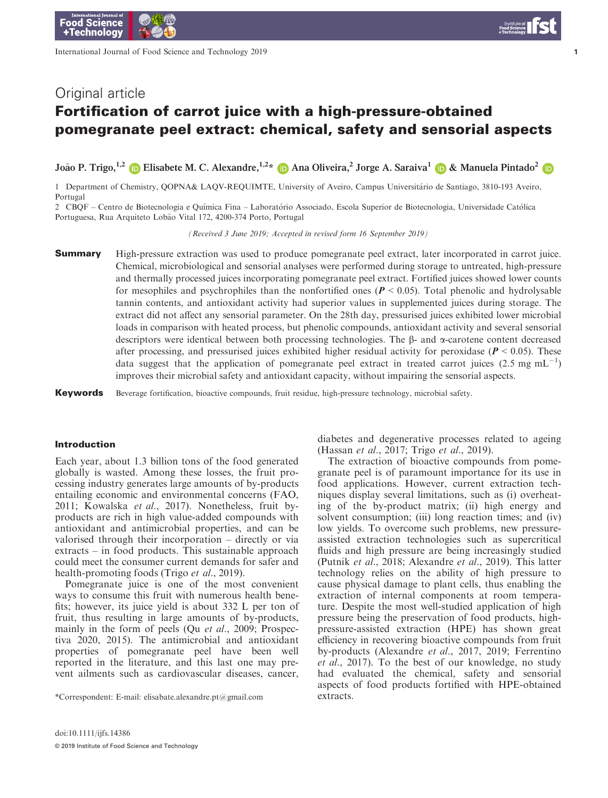International Journal of Food Science and Technology 2019

 $\overline{1}$ 

# Fortification of carrot juice with a high-pressure-obtained pomegranate peel extract: chemical, safety and sensorial aspects

João P. Trigo,<sup>1,2</sup> **D** Elisabete M. C. Alexandre,<sup>1,2</sup>[\\*](https://orcid.org/0000-0003-4175-2498) **D** Ana Oliveira,<sup>2</sup> Jorge A. Saraiva<sup>1</sup> **D** & Manuela Pintado<sup>2</sup> D

1 Department of Chemistry, QOPNA& LAQV-REQUIMTE, University of Aveiro, Campus Universitário de Santiago, 3810-193 Aveiro, Portugal

2 CBQF - Centro de Biotecnologia e Química Fina - Laboratório Associado, Escola Superior de Biotecnologia, Universidade Católica Portuguesa, Rua Arquiteto Lobão Vital 172, 4200-374 Porto, Portugal

(Received 3 June 2019; Accepted in revised form 16 September 2019)

**Summary** High-pressure extraction was used to produce pomegranate peel extract, later incorporated in carrot juice. Chemical, microbiological and sensorial analyses were performed during storage to untreated, high-pressure and thermally processed juices incorporating pomegranate peel extract. Fortified juices showed lower counts for mesophiles and psychrophiles than the nonfortified ones ( $P < 0.05$ ). Total phenolic and hydrolysable tannin contents, and antioxidant activity had superior values in supplemented juices during storage. The extract did not affect any sensorial parameter. On the 28th day, pressurised juices exhibited lower microbial loads in comparison with heated process, but phenolic compounds, antioxidant activity and several sensorial descriptors were identical between both processing technologies. The  $\beta$ - and  $\alpha$ -carotene content decreased after processing, and pressurised juices exhibited higher residual activity for peroxidase ( $P < 0.05$ ). These data suggest that the application of pomegranate peel extract in treated carrot juices (2.5 mg mL<sup>-1</sup>) improves their microbial safety and antioxidant capacity, without impairing the sensorial aspects.

Keywords Beverage fortification, bioactive compounds, fruit residue, high-pressure technology, microbial safety.

#### Introduction

Each year, about 1.3 billion tons of the food generated globally is wasted. Among these losses, the fruit processing industry generates large amounts of by-products entailing economic and environmental concerns (FAO, 2011; Kowalska et al., 2017). Nonetheless, fruit byproducts are rich in high value-added compounds with antioxidant and antimicrobial properties, and can be valorised through their incorporation – directly or via extracts – in food products. This sustainable approach could meet the consumer current demands for safer and health-promoting foods (Trigo et al., 2019).

Pomegranate juice is one of the most convenient ways to consume this fruit with numerous health benefits; however, its juice yield is about 332 L per ton of fruit, thus resulting in large amounts of by-products, mainly in the form of peels (Qu et al., 2009; Prospectiva 2020, 2015). The antimicrobial and antioxidant properties of pomegranate peel have been well reported in the literature, and this last one may prevent ailments such as cardiovascular diseases, cancer,

\*Correspondent: E-mail: [elisabate.alexandre.pt@gmail.com](mailto:) extracts.

doi:10.1111/ijfs.14386

diabetes and degenerative processes related to ageing (Hassan et al., 2017; Trigo et al., 2019).

The extraction of bioactive compounds from pomegranate peel is of paramount importance for its use in food applications. However, current extraction techniques display several limitations, such as (i) overheating of the by-product matrix; (ii) high energy and solvent consumption; (iii) long reaction times; and (iv) low yields. To overcome such problems, new pressureassisted extraction technologies such as supercritical fluids and high pressure are being increasingly studied (Putnik et al., 2018; Alexandre et al., 2019). This latter technology relies on the ability of high pressure to cause physical damage to plant cells, thus enabling the extraction of internal components at room temperature. Despite the most well-studied application of high pressure being the preservation of food products, highpressure-assisted extraction (HPE) has shown great efficiency in recovering bioactive compounds from fruit by-products (Alexandre et al., 2017, 2019; Ferrentino et al., 2017). To the best of our knowledge, no study had evaluated the chemical, safety and sensorial aspects of food products fortified with HPE-obtained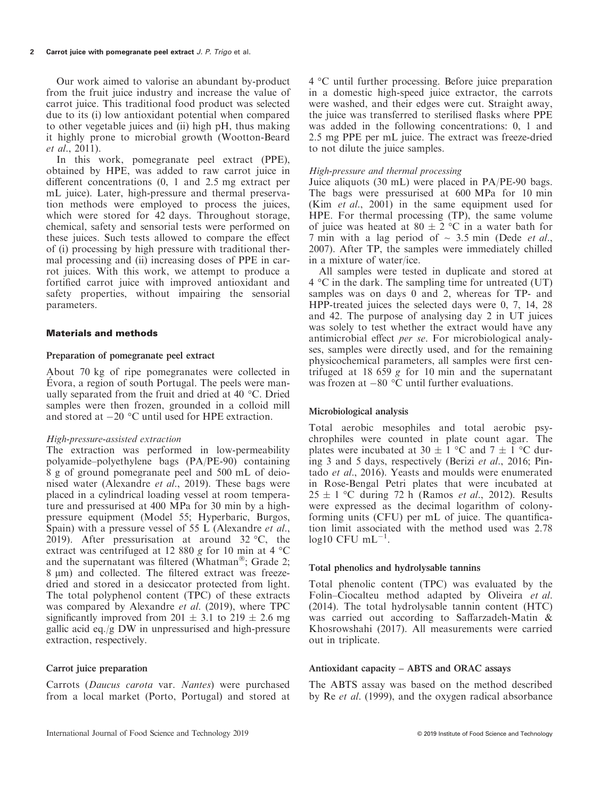Our work aimed to valorise an abundant by-product from the fruit juice industry and increase the value of carrot juice. This traditional food product was selected due to its (i) low antioxidant potential when compared to other vegetable juices and (ii) high pH, thus making it highly prone to microbial growth (Wootton-Beard et al., 2011).

In this work, pomegranate peel extract (PPE), obtained by HPE, was added to raw carrot juice in different concentrations (0, 1 and 2.5 mg extract per mL juice). Later, high-pressure and thermal preservation methods were employed to process the juices, which were stored for 42 days. Throughout storage, chemical, safety and sensorial tests were performed on these juices. Such tests allowed to compare the effect of (i) processing by high pressure with traditional thermal processing and (ii) increasing doses of PPE in carrot juices. With this work, we attempt to produce a fortified carrot juice with improved antioxidant and safety properties, without impairing the sensorial parameters.

# Materials and methods

# Preparation of pomegranate peel extract

About 70 kg of ripe pomegranates were collected in Evora, a region of south Portugal. The peels were man- ually separated from the fruit and dried at 40 °C. Dried samples were then frozen, grounded in a colloid mill and stored at  $-20$  °C until used for HPE extraction.

# High-pressure-assisted extraction

The extraction was performed in low-permeability polyamide–polyethylene bags (PA/PE-90) containing 8 g of ground pomegranate peel and 500 mL of deionised water (Alexandre *et al.*, 2019). These bags were placed in a cylindrical loading vessel at room temperature and pressurised at 400 MPa for 30 min by a highpressure equipment (Model 55; Hyperbaric, Burgos, Spain) with a pressure vessel of 55 L (Alexandre *et al.*, 2019). After pressurisation at around  $32 \text{ °C}$ , the extract was centrifuged at 12 880 g for 10 min at 4  $^{\circ}$ C and the supernatant was filtered (Whatman<sup>®</sup>; Grade 2; 8  $\mu$ m) and collected. The filtered extract was freezedried and stored in a desiccator protected from light. The total polyphenol content (TPC) of these extracts was compared by Alexandre et al. (2019), where TPC significantly improved from 201  $\pm$  3.1 to 219  $\pm$  2.6 mg gallic acid eq./g DW in unpressurised and high-pressure extraction, respectively.

# Carrot juice preparation

Carrots (Daucus carota var. Nantes) were purchased from a local market (Porto, Portugal) and stored at 4 °C until further processing. Before juice preparation in a domestic high-speed juice extractor, the carrots were washed, and their edges were cut. Straight away, the juice was transferred to sterilised flasks where PPE was added in the following concentrations: 0, 1 and 2.5 mg PPE per mL juice. The extract was freeze-dried to not dilute the juice samples.

# High-pressure and thermal processing

Juice aliquots (30 mL) were placed in PA/PE-90 bags. The bags were pressurised at 600 MPa for 10 min (Kim et al., 2001) in the same equipment used for HPE. For thermal processing (TP), the same volume of juice was heated at 80  $\pm$  2 °C in a water bath for 7 min with a lag period of  $\sim$  3.5 min (Dede et al., 2007). After TP, the samples were immediately chilled in a mixture of water/ice.

All samples were tested in duplicate and stored at 4 °C in the dark. The sampling time for untreated (UT) samples was on days 0 and 2, whereas for TP- and HPP-treated juices the selected days were 0, 7, 14, 28 and 42. The purpose of analysing day 2 in UT juices was solely to test whether the extract would have any antimicrobial effect per se. For microbiological analyses, samples were directly used, and for the remaining physicochemical parameters, all samples were first centrifuged at 18 659 g for 10 min and the supernatant was frozen at  $-80$  °C until further evaluations.

# Microbiological analysis

Total aerobic mesophiles and total aerobic psychrophiles were counted in plate count agar. The plates were incubated at 30  $\pm$  1 °C and 7  $\pm$  1 °C during 3 and 5 days, respectively (Berizi et al., 2016; Pintado et al., 2016). Yeasts and moulds were enumerated in Rose-Bengal Petri plates that were incubated at  $25 \pm 1$  °C during 72 h (Ramos *et al.*, 2012). Results were expressed as the decimal logarithm of colonyforming units (CFU) per mL of juice. The quantification limit associated with the method used was 2.78  $log10$  CFU mL<sup>-1</sup>.

# Total phenolics and hydrolysable tannins

Total phenolic content (TPC) was evaluated by the Folin–Ciocalteu method adapted by Oliveira et al. (2014). The total hydrolysable tannin content (HTC) was carried out according to Saffarzadeh-Matin & Khosrowshahi (2017). All measurements were carried out in triplicate.

# Antioxidant capacity – ABTS and ORAC assays

The ABTS assay was based on the method described by Re et al. (1999), and the oxygen radical absorbance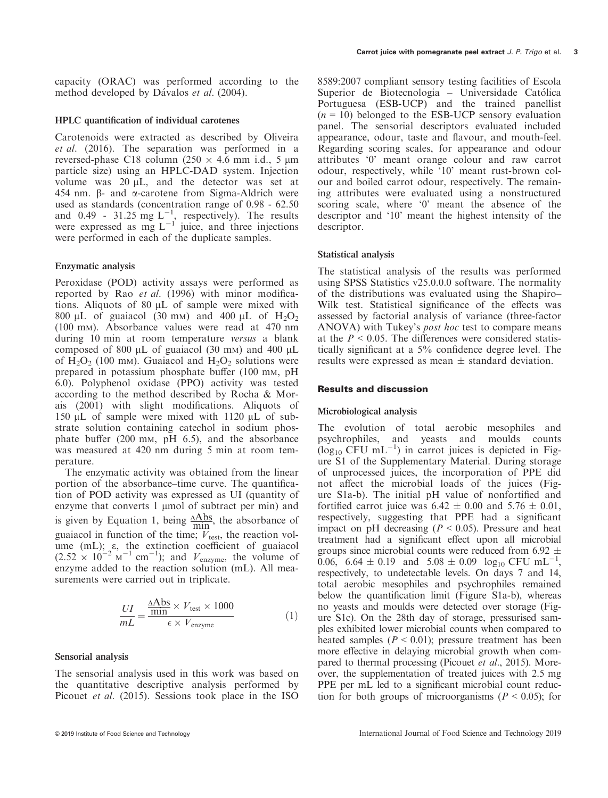#### HPLC quantification of individual carotenes

Carotenoids were extracted as described by Oliveira et al. (2016). The separation was performed in a reversed-phase C18 column (250  $\times$  4.6 mm i.d., 5 µm particle size) using an HPLC-DAD system. Injection volume was  $20 \mu L$ , and the detector was set at 454 nm.  $\beta$ - and  $\alpha$ -carotene from Sigma-Aldrich were used as standards (concentration range of 0.98 - 62.50 and 0.49 - 31.25 mg  $L^{-1}$ , respectively). The results were expressed as mg  $L^{-1}$  juice, and three injections were performed in each of the duplicate samples.

#### Enzymatic analysis

Peroxidase (POD) activity assays were performed as reported by Rao et al. (1996) with minor modifications. Aliquots of 80  $\mu$ L of sample were mixed with 800  $\mu$ L of guaiacol (30 mm) and 400  $\mu$ L of H<sub>2</sub>O<sub>2</sub> (100 mM). Absorbance values were read at 470 nm during 10 min at room temperature versus a blank composed of 800  $\mu$ L of guaiacol (30 mm) and 400  $\mu$ L of  $H_2O_2$  (100 mm). Guaiacol and  $H_2O_2$  solutions were prepared in potassium phosphate buffer (100 mm, pH 6.0). Polyphenol oxidase (PPO) activity was tested according to the method described by Rocha & Morais (2001) with slight modifications. Aliquots of 150  $\mu$ L of sample were mixed with 1120  $\mu$ L of substrate solution containing catechol in sodium phosphate buffer (200 mM, pH 6.5), and the absorbance was measured at 420 nm during 5 min at room temperature.

The enzymatic activity was obtained from the linear portion of the absorbance–time curve. The quantification of POD activity was expressed as UI (quantity of enzyme that converts 1 µmol of subtract per min) and is given by Equation 1, being  $\frac{\triangle Abs}{\text{min}}$ , the absorbance of guaiacol in function of the time;  $V_{\text{test}}$ , the reaction volume (mL); e, the extinction coefficient of guaiacol  $(2.52 \times 10^{-2} \text{ m}^{-1} \text{ cm}^{-1})$ ; and  $V_{\text{enzyme}}$ , the volume of enzyme added to the reaction solution (mL). All measurements were carried out in triplicate.

$$
\frac{UI}{mL} = \frac{\frac{\text{AAbs}}{\text{min}} \times V_{\text{test}} \times 1000}{\epsilon \times V_{\text{enzyme}}} \tag{1}
$$

#### Sensorial analysis

The sensorial analysis used in this work was based on the quantitative descriptive analysis performed by Picouet et al. (2015). Sessions took place in the ISO 8589:2007 compliant sensory testing facilities of Escola Superior de Biotecnologia - Universidade Católica Portuguesa (ESB-UCP) and the trained panellist  $(n = 10)$  belonged to the ESB-UCP sensory evaluation panel. The sensorial descriptors evaluated included appearance, odour, taste and flavour, and mouth-feel. Regarding scoring scales, for appearance and odour attributes '0' meant orange colour and raw carrot odour, respectively, while '10' meant rust-brown colour and boiled carrot odour, respectively. The remaining attributes were evaluated using a nonstructured scoring scale, where '0' meant the absence of the descriptor and '10' meant the highest intensity of the descriptor.

#### Statistical analysis

The statistical analysis of the results was performed using SPSS Statistics v25.0.0.0 software. The normality of the distributions was evaluated using the Shapiro– Wilk test. Statistical significance of the effects was assessed by factorial analysis of variance (three-factor ANOVA) with Tukey's post hoc test to compare means at the  $P < 0.05$ . The differences were considered statistically significant at a 5% confidence degree level. The results were expressed as mean  $\pm$  standard deviation.

#### Results and discussion

#### Microbiological analysis

The evolution of total aerobic mesophiles and psychrophiles, and yeasts and moulds counts  $(\log_{10}$  CFU mL<sup>-1</sup>) in carrot juices is depicted in Figure S1 of the Supplementary Material. During storage of unprocessed juices, the incorporation of PPE did not affect the microbial loads of the juices (Figure S1a-b). The initial pH value of nonfortified and fortified carrot juice was  $6.42 \pm 0.00$  and  $5.76 \pm 0.01$ , respectively, suggesting that PPE had a significant impact on pH decreasing  $(P < 0.05)$ . Pressure and heat treatment had a significant effect upon all microbial groups since microbial counts were reduced from 6.92  $\pm$ 0.06, 6.64  $\pm$  0.19 and 5.08  $\pm$  0.09 log<sub>10</sub> CFU mL<sup>-1</sup>, respectively, to undetectable levels. On days 7 and 14, total aerobic mesophiles and psychrophiles remained below the quantification limit (Figure S1a-b), whereas no yeasts and moulds were detected over storage (Figure S1c). On the 28th day of storage, pressurised samples exhibited lower microbial counts when compared to heated samples ( $P < 0.01$ ); pressure treatment has been more effective in delaying microbial growth when compared to thermal processing (Picouet et al., 2015). Moreover, the supplementation of treated juices with 2.5 mg PPE per mL led to a significant microbial count reduction for both groups of microorganisms ( $P < 0.05$ ); for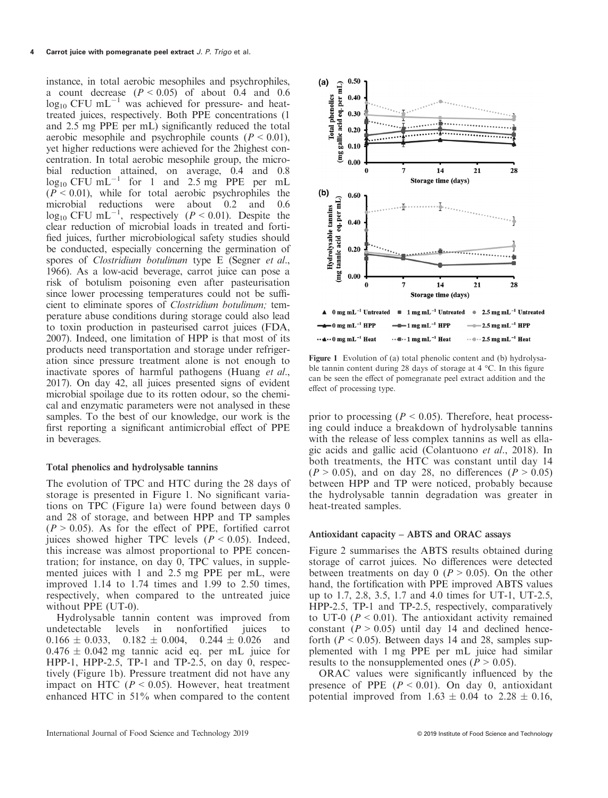instance, in total aerobic mesophiles and psychrophiles, a count decrease  $(P < 0.05)$  of about 0.4 and 0.6  $\log_{10}$  CFU mL<sup>-1</sup> was achieved for pressure- and heattreated juices, respectively. Both PPE concentrations (1 and 2.5 mg PPE per mL) significantly reduced the total aerobic mesophile and psychrophile counts  $(P < 0.01)$ , yet higher reductions were achieved for the 2highest concentration. In total aerobic mesophile group, the microbial reduction attained, on average, 0.4 and 0.8  $log_{10}$  CFU mL<sup>-1</sup> for 1 and 2.5 mg PPE per mL  $(P < 0.01)$ , while for total aerobic psychrophiles the microbial reductions were about 0.2 and 0.6  $log_{10}$  CFU mL<sup>-1</sup>, respectively ( $P < 0.01$ ). Despite the clear reduction of microbial loads in treated and fortified juices, further microbiological safety studies should be conducted, especially concerning the germination of spores of *Clostridium botulinum* type E (Segner et al., 1966). As a low-acid beverage, carrot juice can pose a risk of botulism poisoning even after pasteurisation since lower processing temperatures could not be sufficient to eliminate spores of Clostridium botulinum; temperature abuse conditions during storage could also lead to toxin production in pasteurised carrot juices (FDA, 2007). Indeed, one limitation of HPP is that most of its products need transportation and storage under refrigeration since pressure treatment alone is not enough to inactivate spores of harmful pathogens (Huang et al., 2017). On day 42, all juices presented signs of evident microbial spoilage due to its rotten odour, so the chemical and enzymatic parameters were not analysed in these samples. To the best of our knowledge, our work is the first reporting a significant antimicrobial effect of PPE in beverages.

#### Total phenolics and hydrolysable tannins

The evolution of TPC and HTC during the 28 days of storage is presented in Figure 1. No significant variations on TPC (Figure 1a) were found between days 0 and 28 of storage, and between HPP and TP samples  $(P > 0.05)$ . As for the effect of PPE, fortified carrot juices showed higher TPC levels  $(P < 0.05)$ . Indeed, this increase was almost proportional to PPE concentration; for instance, on day 0, TPC values, in supplemented juices with 1 and 2.5 mg PPE per mL, were improved 1.14 to 1.74 times and 1.99 to 2.50 times, respectively, when compared to the untreated juice without PPE (UT-0).

Hydrolysable tannin content was improved from undetectable levels in nonfortified juices to  $0.166 \pm 0.033$ ,  $0.182 \pm 0.004$ ,  $0.244 \pm 0.026$  and  $0.476 \pm 0.042$  mg tannic acid eq. per mL juice for HPP-1, HPP-2.5, TP-1 and TP-2.5, on day 0, respectively (Figure 1b). Pressure treatment did not have any impact on HTC ( $P < 0.05$ ). However, heat treatment enhanced HTC in 51% when compared to the content



Figure 1 Evolution of (a) total phenolic content and (b) hydrolysable tannin content during 28 days of storage at 4 °C. In this figure can be seen the effect of pomegranate peel extract addition and the effect of processing type.

prior to processing ( $P < 0.05$ ). Therefore, heat processing could induce a breakdown of hydrolysable tannins with the release of less complex tannins as well as ellagic acids and gallic acid (Colantuono et al., 2018). In both treatments, the HTC was constant until day 14  $(P > 0.05)$ , and on day 28, no differences  $(P > 0.05)$ between HPP and TP were noticed, probably because the hydrolysable tannin degradation was greater in heat-treated samples.

#### Antioxidant capacity – ABTS and ORAC assays

Figure 2 summarises the ABTS results obtained during storage of carrot juices. No differences were detected between treatments on day 0 ( $P > 0.05$ ). On the other hand, the fortification with PPE improved ABTS values up to 1.7, 2.8, 3.5, 1.7 and 4.0 times for UT-1, UT-2.5, HPP-2.5, TP-1 and TP-2.5, respectively, comparatively to UT-0 ( $P < 0.01$ ). The antioxidant activity remained constant  $(P > 0.05)$  until day 14 and declined henceforth ( $P < 0.05$ ). Between days 14 and 28, samples supplemented with 1 mg PPE per mL juice had similar results to the nonsupplemented ones ( $P > 0.05$ ).

ORAC values were significantly influenced by the presence of PPE  $(P < 0.01)$ . On day 0, antioxidant potential improved from  $1.63 \pm 0.04$  to  $2.28 \pm 0.16$ ,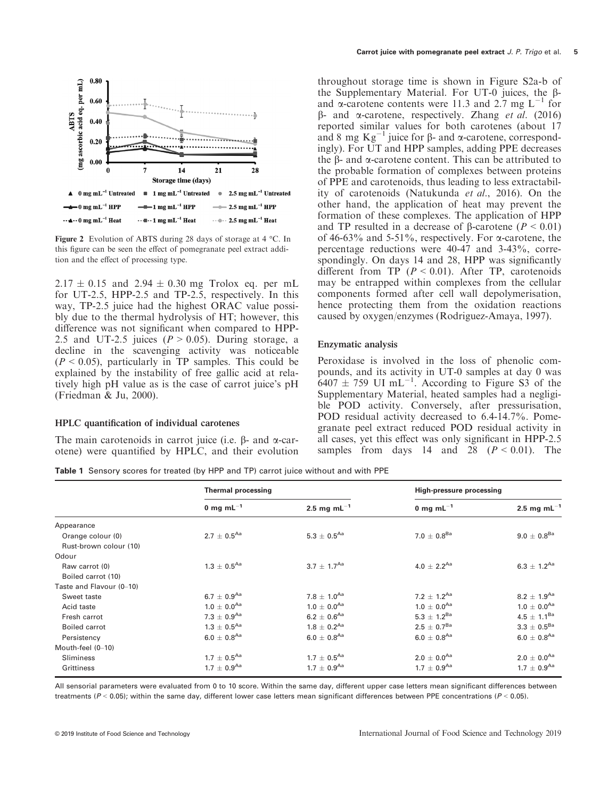

Figure 2 Evolution of ABTS during 28 days of storage at 4 °C. In this figure can be seen the effect of pomegranate peel extract addition and the effect of processing type.

 $2.17 \pm 0.15$  and  $2.94 \pm 0.30$  mg Trolox eq. per mL for UT-2.5, HPP-2.5 and TP-2.5, respectively. In this way, TP-2.5 juice had the highest ORAC value possibly due to the thermal hydrolysis of HT; however, this difference was not significant when compared to HPP-2.5 and UT-2.5 juices ( $P > 0.05$ ). During storage, a decline in the scavenging activity was noticeable  $(P < 0.05)$ , particularly in TP samples. This could be explained by the instability of free gallic acid at relatively high pH value as is the case of carrot juice's pH (Friedman & Ju, 2000).

#### HPLC quantification of individual carotenes

The main carotenoids in carrot juice (i.e.  $\beta$ - and  $\alpha$ -carotene) were quantified by HPLC, and their evolution

throughout storage time is shown in Figure S2a-b of the Supplementary Material. For UT-0 juices, the  $\beta$ and  $\alpha$ -carotene contents were 11.3 and 2.7 mg  $L^{-1}$  for  $\beta$ - and  $\alpha$ -carotene, respectively. Zhang *et al.* (2016) reported similar values for both carotenes (about 17 and 8 mg  $Kg^{-1}$  juice for  $\beta$ - and  $\alpha$ -carotene, correspondingly). For UT and HPP samples, adding PPE decreases the  $\beta$ - and  $\alpha$ -carotene content. This can be attributed to the probable formation of complexes between proteins of PPE and carotenoids, thus leading to less extractability of carotenoids (Natukunda et al., 2016). On the other hand, the application of heat may prevent the formation of these complexes. The application of HPP and TP resulted in a decrease of  $\beta$ -carotene ( $P < 0.01$ ) of 46-63% and 5-51%, respectively. For  $\alpha$ -carotene, the percentage reductions were 40-47 and 3-43%, correspondingly. On days 14 and 28, HPP was significantly different from TP  $(P < 0.01)$ . After TP, carotenoids may be entrapped within complexes from the cellular components formed after cell wall depolymerisation, hence protecting them from the oxidation reactions caused by oxygen/enzymes (Rodriguez-Amaya, 1997).

#### Enzymatic analysis

Peroxidase is involved in the loss of phenolic compounds, and its activity in UT-0 samples at day 0 was  $6407 \pm 759$  UI mL<sup>-1</sup>. According to Figure S<sub>3</sub> of the Supplementary Material, heated samples had a negligible POD activity. Conversely, after pressurisation, POD residual activity decreased to 6.4-14.7%. Pomegranate peel extract reduced POD residual activity in all cases, yet this effect was only significant in HPP-2.5 samples from days 14 and 28  $(P < 0.01)$ . The

Table 1 Sensory scores for treated (by HPP and TP) carrot juice without and with PPE

|                          | <b>Thermal processing</b>   |                             | <b>High-pressure processing</b> |                             |
|--------------------------|-----------------------------|-----------------------------|---------------------------------|-----------------------------|
|                          | 0 mg m $L^{-1}$             | 2.5 mg m $L^{-1}$           | 0 mg m $L^{-1}$                 | 2.5 mg m $L^{-1}$           |
| Appearance               |                             |                             |                                 |                             |
| Orange colour (0)        | $2.7 \pm 0.5^{Aa}$          | $5.3 \pm 0.5^{Aa}$          | $7.0 \pm 0.8^{Ba}$              | $9.0 \pm 0.8^{\text{Ba}}$   |
| Rust-brown colour (10)   |                             |                             |                                 |                             |
| Odour                    |                             |                             |                                 |                             |
| Raw carrot (0)           | $1.3 \pm 0.5^{Aa}$          | $3.7 \pm 1.7^{Aa}$          | 4.0 $\pm$ 2.2 <sup>Aa</sup>     | $6.3 \pm 1.2^{Aa}$          |
| Boiled carrot (10)       |                             |                             |                                 |                             |
| Taste and Flavour (0-10) |                             |                             |                                 |                             |
| Sweet taste              | $6.7\,\pm\,0.9^{\text{Aa}}$ | $7.8 \pm 1.0^{Aa}$          | 7.2 $\pm$ 1.2 <sup>Aa</sup>     | $8.2 \pm 1.9$ <sup>Aa</sup> |
| Acid taste               | $1.0 \pm 0.0^{Aa}$          | $1.0 \pm 0.0^{Aa}$          | $1.0 \pm 0.0^{Aa}$              | $1.0 \pm 0.0$ <sup>Aa</sup> |
| Fresh carrot             | $7.3 \pm 0.9^{Aa}$          | $6.2 \pm 0.6^{Aa}$          | 5.3 $\pm$ 1.2 <sup>Ba</sup>     | $4.5\,\pm\,1.1^\text{Ba}$   |
| <b>Boiled carrot</b>     | $1.3 \pm 0.5^{Aa}$          | $1.8 \pm 0.2^{Aa}$          | $2.5 \pm 0.7^{Ba}$              | $3.3 \pm 0.5^{Ba}$          |
| Persistency              | $6.0 \pm 0.8$ <sup>Aa</sup> | $6.0 \pm 0.8$ <sup>Aa</sup> | $6.0 \pm 0.8$ <sup>Aa</sup>     | $6.0\,\pm\,0.8^\text{Aa}$   |
| Mouth-feel (0-10)        |                             |                             |                                 |                             |
| <b>Sliminess</b>         | $1.7 \pm 0.5^{Aa}$          | $1.7 \pm 0.5^{Aa}$          | $2.0 \pm 0.0^{Aa}$              | $2.0 \pm 0.0^{Aa}$          |
| <b>Grittiness</b>        | $1.7 \pm 0.9$ <sup>Aa</sup> | $1.7 \pm 0.9^{Aa}$          | $1.7 \pm 0.9$ <sup>Aa</sup>     | $1.7 \pm 0.9$ <sup>Aa</sup> |

All sensorial parameters were evaluated from 0 to 10 score. Within the same day, different upper case letters mean significant differences between treatments ( $P < 0.05$ ); within the same day, different lower case letters mean significant differences between PPE concentrations ( $P < 0.05$ ).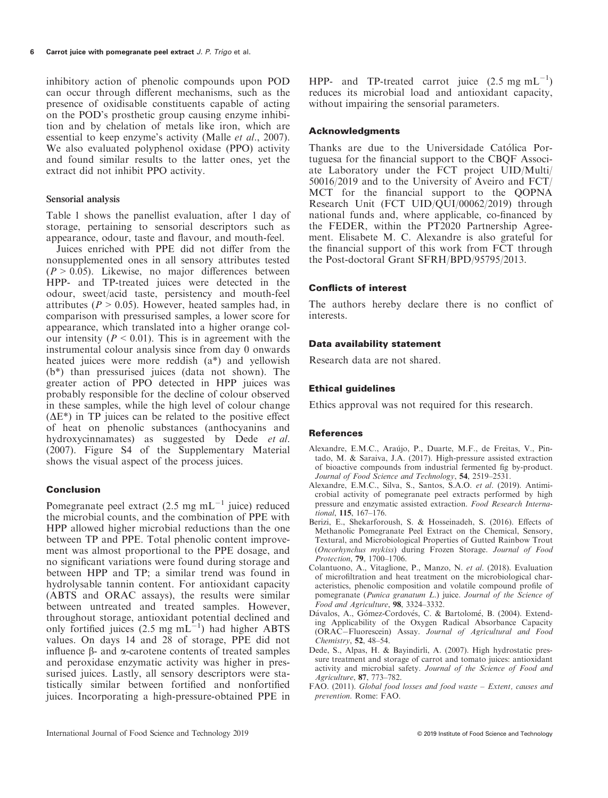inhibitory action of phenolic compounds upon POD can occur through different mechanisms, such as the presence of oxidisable constituents capable of acting on the POD's prosthetic group causing enzyme inhibition and by chelation of metals like iron, which are essential to keep enzyme's activity (Malle *et al.*, 2007). We also evaluated polyphenol oxidase (PPO) activity and found similar results to the latter ones, yet the extract did not inhibit PPO activity.

#### Sensorial analysis

Table 1 shows the panellist evaluation, after 1 day of storage, pertaining to sensorial descriptors such as appearance, odour, taste and flavour, and mouth-feel.

Juices enriched with PPE did not differ from the nonsupplemented ones in all sensory attributes tested  $(P > 0.05)$ . Likewise, no major differences between HPP- and TP-treated juices were detected in the odour, sweet/acid taste, persistency and mouth-feel attributes ( $P > 0.05$ ). However, heated samples had, in comparison with pressurised samples, a lower score for appearance, which translated into a higher orange colour intensity ( $P < 0.01$ ). This is in agreement with the instrumental colour analysis since from day 0 onwards heated juices were more reddish (a\*) and yellowish (b\*) than pressurised juices (data not shown). The greater action of PPO detected in HPP juices was probably responsible for the decline of colour observed in these samples, while the high level of colour change  $(\Delta E^*)$  in TP juices can be related to the positive effect of heat on phenolic substances (anthocyanins and hydroxycinnamates) as suggested by Dede et al. (2007). Figure S4 of the Supplementary Material shows the visual aspect of the process juices.

### Conclusion

Pomegranate peel extract (2.5 mg  $mL^{-1}$  juice) reduced the microbial counts, and the combination of PPE with HPP allowed higher microbial reductions than the one between TP and PPE. Total phenolic content improvement was almost proportional to the PPE dosage, and no significant variations were found during storage and between HPP and TP; a similar trend was found in hydrolysable tannin content. For antioxidant capacity (ABTS and ORAC assays), the results were similar between untreated and treated samples. However, throughout storage, antioxidant potential declined and only fortified juices  $(2.5 \text{ mg} \text{ mL}^{-1})$  had higher ABTS values. On days 14 and 28 of storage, PPE did not influence  $\beta$ - and  $\alpha$ -carotene contents of treated samples and peroxidase enzymatic activity was higher in pressurised juices. Lastly, all sensory descriptors were statistically similar between fortified and nonfortified juices. Incorporating a high-pressure-obtained PPE in

HPP- and TP-treated carrot juice  $(2.5 \text{ mg } \text{mL}^{-1})$ reduces its microbial load and antioxidant capacity, without impairing the sensorial parameters.

## Acknowledgments

Thanks are due to the Universidade Católica Portuguesa for the financial support to the CBQF Associate Laboratory under the FCT project UID/Multi/ 50016/2019 and to the University of Aveiro and FCT/ MCT for the financial support to the QOPNA Research Unit (FCT UID/QUI/00062/2019) through national funds and, where applicable, co-financed by the FEDER, within the PT2020 Partnership Agreement. Elisabete M. C. Alexandre is also grateful for the financial support of this work from FCT through the Post-doctoral Grant SFRH/BPD/95795/2013.

#### Conflicts of interest

The authors hereby declare there is no conflict of interests.

#### Data availability statement

Research data are not shared.

### Ethical guidelines

Ethics approval was not required for this research.

#### References

- Alexandre, E.M.C., Araújo, P., Duarte, M.F., de Freitas, V., Pintado, M. & Saraiva, J.A. (2017). High-pressure assisted extraction of bioactive compounds from industrial fermented fig by-product. Journal of Food Science and Technology, 54, 2519-2531.
- Alexandre, E.M.C., Silva, S., Santos, S.A.O. et al. (2019). Antimicrobial activity of pomegranate peel extracts performed by high pressure and enzymatic assisted extraction. Food Research International, 115, 167–176.
- Berizi, E., Shekarforoush, S. & Hosseinadeh, S. (2016). Effects of Methanolic Pomegranate Peel Extract on the Chemical, Sensory, Textural, and Microbiological Properties of Gutted Rainbow Trout (Oncorhynchus mykiss) during Frozen Storage. Journal of Food Protection, 79, 1700-1706.
- Protection, 79, 1700–1706.<br>Colantuono, A., Vitaglione, P., Manzo, N. et al. (2018). Evaluation of microfiltration and heat treatment on the microbiological characteristics, phenolic composition and volatile compound profile of pomegranate (Punica granatum L.) juice. Journal of the Science of Food and Agriculture, 98, 3324-3332.
- Food and Agriculture, 98, 3324–3332.<br>Dávalos, A., Gómez-Cordovés, C. & Bartolomé, B. (2004). Extending Applicability of the Oxygen Radical Absorbance Capacity  $(ORA\hat{C}-Fluorescein)$  Assay. Journal of Agricultural and Food Chemistry, 52, 48–54.
- Chemistry, 52, 48-54.<br>Dede, S., Alpas, H. & Bayindirli, A. (2007). High hydrostatic pressure treatment and storage of carrot and tomato juices: antioxidant activity and microbial safety. Journal of the Science of Food and Agriculture, 87, 773–782.
- FAO. (2011). Global food losses and food waste Extent, causes and prevention. Rome: FAO.